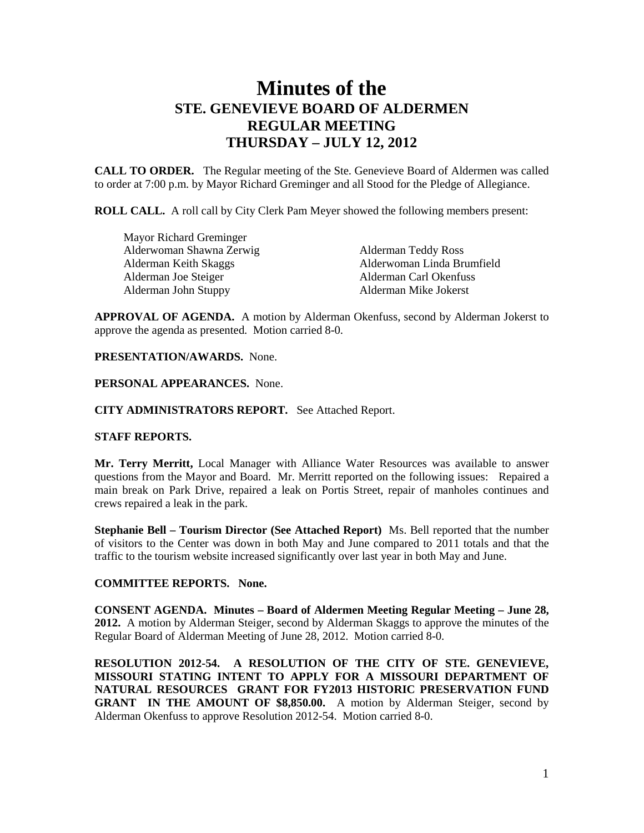# **Minutes of the STE. GENEVIEVE BOARD OF ALDERMEN REGULAR MEETING THURSDAY – JULY 12, 2012**

**CALL TO ORDER.** The Regular meeting of the Ste. Genevieve Board of Aldermen was called to order at 7:00 p.m. by Mayor Richard Greminger and all Stood for the Pledge of Allegiance.

**ROLL CALL.** A roll call by City Clerk Pam Meyer showed the following members present:

| Mayor Richard Greminger  |                            |
|--------------------------|----------------------------|
| Alderwoman Shawna Zerwig | Alderman Teddy Ross        |
| Alderman Keith Skaggs    | Alderwoman Linda Brumfield |
| Alderman Joe Steiger     | Alderman Carl Okenfuss     |
| Alderman John Stuppy     | Alderman Mike Jokerst      |

**APPROVAL OF AGENDA.** A motion by Alderman Okenfuss, second by Alderman Jokerst to approve the agenda as presented. Motion carried 8-0.

**PRESENTATION/AWARDS.** None.

#### **PERSONAL APPEARANCES.** None.

**CITY ADMINISTRATORS REPORT.** See Attached Report.

# **STAFF REPORTS.**

**Mr. Terry Merritt,** Local Manager with Alliance Water Resources was available to answer questions from the Mayor and Board. Mr. Merritt reported on the following issues: Repaired a main break on Park Drive, repaired a leak on Portis Street, repair of manholes continues and crews repaired a leak in the park.

**Stephanie Bell – Tourism Director (See Attached Report)** Ms. Bell reported that the number of visitors to the Center was down in both May and June compared to 2011 totals and that the traffic to the tourism website increased significantly over last year in both May and June.

#### **COMMITTEE REPORTS. None.**

**CONSENT AGENDA. Minutes – Board of Aldermen Meeting Regular Meeting – June 28, 2012.** A motion by Alderman Steiger, second by Alderman Skaggs to approve the minutes of the Regular Board of Alderman Meeting of June 28, 2012. Motion carried 8-0.

**RESOLUTION 2012-54. A RESOLUTION OF THE CITY OF STE. GENEVIEVE, MISSOURI STATING INTENT TO APPLY FOR A MISSOURI DEPARTMENT OF NATURAL RESOURCES GRANT FOR FY2013 HISTORIC PRESERVATION FUND GRANT IN THE AMOUNT OF \$8,850.00.** A motion by Alderman Steiger, second by Alderman Okenfuss to approve Resolution 2012-54. Motion carried 8-0.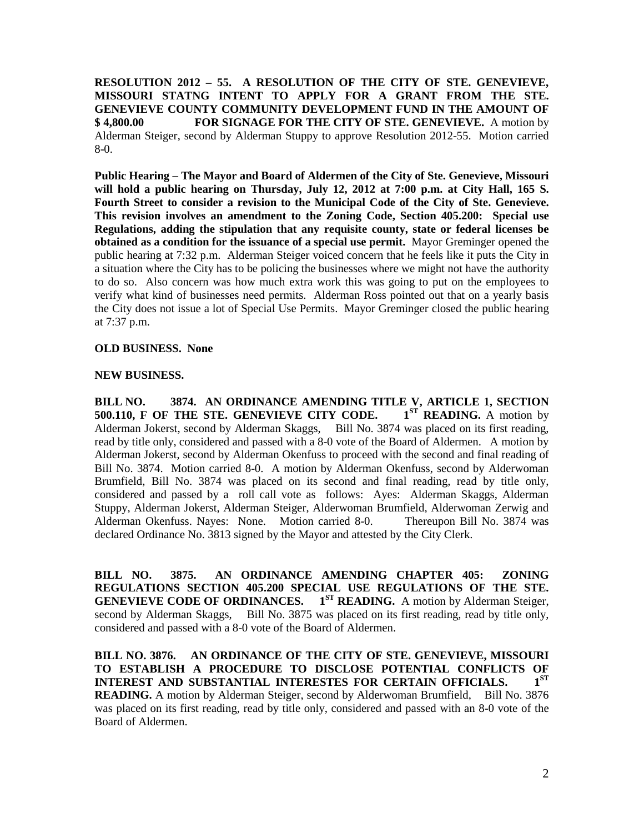**RESOLUTION 2012 – 55. A RESOLUTION OF THE CITY OF STE. GENEVIEVE, MISSOURI STATNG INTENT TO APPLY FOR A GRANT FROM THE STE. GENEVIEVE COUNTY COMMUNITY DEVELOPMENT FUND IN THE AMOUNT OF \$ 4,800.00 FOR SIGNAGE FOR THE CITY OF STE. GENEVIEVE.** A motion by Alderman Steiger, second by Alderman Stuppy to approve Resolution 2012-55. Motion carried 8-0.

**Public Hearing – The Mayor and Board of Aldermen of the City of Ste. Genevieve, Missouri will hold a public hearing on Thursday, July 12, 2012 at 7:00 p.m. at City Hall, 165 S. Fourth Street to consider a revision to the Municipal Code of the City of Ste. Genevieve. This revision involves an amendment to the Zoning Code, Section 405.200: Special use Regulations, adding the stipulation that any requisite county, state or federal licenses be obtained as a condition for the issuance of a special use permit.** Mayor Greminger opened the public hearing at 7:32 p.m. Alderman Steiger voiced concern that he feels like it puts the City in a situation where the City has to be policing the businesses where we might not have the authority to do so. Also concern was how much extra work this was going to put on the employees to verify what kind of businesses need permits. Alderman Ross pointed out that on a yearly basis the City does not issue a lot of Special Use Permits. Mayor Greminger closed the public hearing at 7:37 p.m.

## **OLD BUSINESS. None**

## **NEW BUSINESS.**

**BILL NO. 3874. AN ORDINANCE AMENDING TITLE V, ARTICLE 1, SECTION 500.110. F OF THE STE. GENEVIEVE CITY CODE.** 1<sup>ST</sup> READING. A motion by **500.110, F OF THE STE. GENEVIEVE CITY CODE.** Alderman Jokerst, second by Alderman Skaggs, Bill No. 3874 was placed on its first reading, read by title only, considered and passed with a 8-0 vote of the Board of Aldermen. A motion by Alderman Jokerst, second by Alderman Okenfuss to proceed with the second and final reading of Bill No. 3874. Motion carried 8-0. A motion by Alderman Okenfuss, second by Alderwoman Brumfield, Bill No. 3874 was placed on its second and final reading, read by title only, considered and passed by a roll call vote as follows: Ayes: Alderman Skaggs, Alderman Stuppy, Alderman Jokerst, Alderman Steiger, Alderwoman Brumfield, Alderwoman Zerwig and Alderman Okenfuss. Nayes: None. Motion carried 8-0. Thereupon Bill No. 3874 was declared Ordinance No. 3813 signed by the Mayor and attested by the City Clerk.

**BILL NO. 3875. AN ORDINANCE AMENDING CHAPTER 405: ZONING REGULATIONS SECTION 405.200 SPECIAL USE REGULATIONS OF THE STE. GENEVIEVE CODE OF ORDINANCES.** 1<sup>ST</sup> **READING.** A motion by Alderman Steiger, second by Alderman Skaggs, Bill No. 3875 was placed on its first reading, read by title only, considered and passed with a 8-0 vote of the Board of Aldermen.

**BILL NO. 3876. AN ORDINANCE OF THE CITY OF STE. GENEVIEVE, MISSOURI TO ESTABLISH A PROCEDURE TO DISCLOSE POTENTIAL CONFLICTS OF INTEREST AND SUBSTANTIAL INTERESTES FOR CERTAIN OFFICIALS.** 1<sup>ST</sup> **READING.** A motion by Alderman Steiger, second by Alderwoman Brumfield, Bill No. 3876 was placed on its first reading, read by title only, considered and passed with an 8-0 vote of the Board of Aldermen.